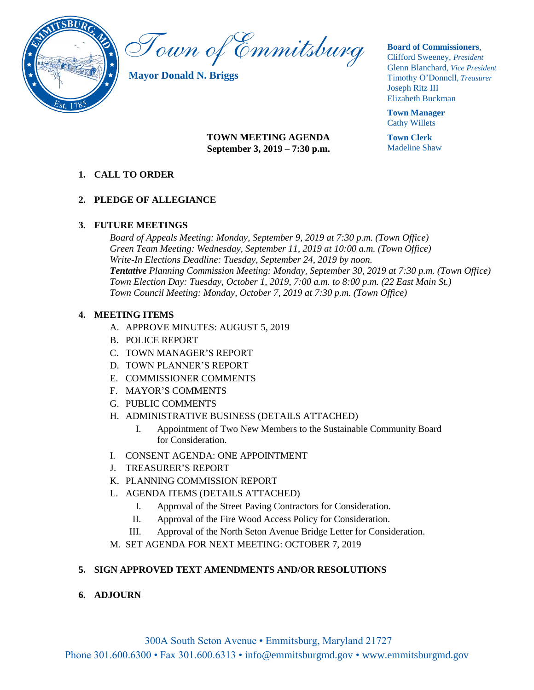

Town of Emmitsburg

**Mayor Donald N. Briggs**

#### **Board of Commissioners**,

Clifford Sweeney, *President* Glenn Blanchard*, Vice President* Timothy O'Donnell*, Treasurer*  Joseph Ritz III Elizabeth Buckman

**Town Manager** Cathy Willets

**Town Clerk** Madeline Shaw

## **TOWN MEETING AGENDA September 3, 2019 – 7:30 p.m.**

# **1. CALL TO ORDER**

#### **2. PLEDGE OF ALLEGIANCE**

# **3. FUTURE MEETINGS**

*Board of Appeals Meeting: Monday, September 9, 2019 at 7:30 p.m. (Town Office) Green Team Meeting: Wednesday, September 11, 2019 at 10:00 a.m. (Town Office) Write-In Elections Deadline: Tuesday, September 24, 2019 by noon. Tentative Planning Commission Meeting: Monday, September 30, 2019 at 7:30 p.m. (Town Office) Town Election Day: Tuesday, October 1, 2019, 7:00 a.m. to 8:00 p.m. (22 East Main St.) Town Council Meeting: Monday, October 7, 2019 at 7:30 p.m. (Town Office)*

#### **4. MEETING ITEMS**

- A. APPROVE MINUTES: AUGUST 5, 2019
- B. POLICE REPORT
- C. TOWN MANAGER'S REPORT
- D. TOWN PLANNER'S REPORT
- E. COMMISSIONER COMMENTS
- F. MAYOR'S COMMENTS
- G. PUBLIC COMMENTS
- H. ADMINISTRATIVE BUSINESS (DETAILS ATTACHED)
	- I. Appointment of Two New Members to the Sustainable Community Board for Consideration.
- I. CONSENT AGENDA: ONE APPOINTMENT
- J. TREASURER'S REPORT
- K. PLANNING COMMISSION REPORT
- L. AGENDA ITEMS (DETAILS ATTACHED)
	- I. Approval of the Street Paving Contractors for Consideration.
	- II. Approval of the Fire Wood Access Policy for Consideration.
	- III. Approval of the North Seton Avenue Bridge Letter for Consideration.
- M. SET AGENDA FOR NEXT MEETING: OCTOBER 7, 2019

# **5. SIGN APPROVED TEXT AMENDMENTS AND/OR RESOLUTIONS**

# **6. ADJOURN**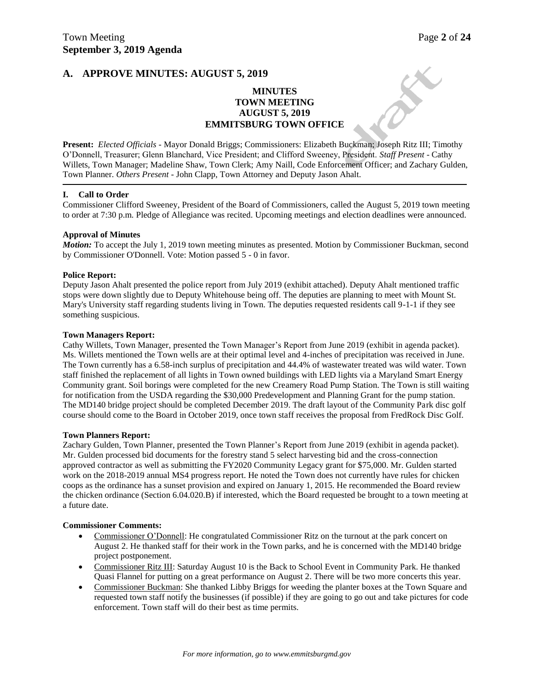#### **A. APPROVE MINUTES: AUGUST 5, 2019**

#### **MINUTES TOWN MEETING AUGUST 5, 2019 EMMITSBURG TOWN OFFICE**

**Present:** *Elected Officials* - Mayor Donald Briggs; Commissioners: Elizabeth Buckman; Joseph Ritz III; Timothy O'Donnell, Treasurer; Glenn Blanchard, Vice President; and Clifford Sweeney, President. *Staff Present* - Cathy Willets, Town Manager; Madeline Shaw, Town Clerk; Amy Naill, Code Enforcement Officer; and Zachary Gulden, Town Planner. *Others Present* - John Clapp, Town Attorney and Deputy Jason Ahalt.

#### **I. Call to Order**

Commissioner Clifford Sweeney, President of the Board of Commissioners, called the August 5, 2019 town meeting to order at 7:30 p.m. Pledge of Allegiance was recited. Upcoming meetings and election deadlines were announced.

#### **Approval of Minutes**

*Motion:* To accept the July 1, 2019 town meeting minutes as presented. Motion by Commissioner Buckman, second by Commissioner O'Donnell. Vote: Motion passed 5 - 0 in favor.

#### **Police Report:**

Deputy Jason Ahalt presented the police report from July 2019 (exhibit attached). Deputy Ahalt mentioned traffic stops were down slightly due to Deputy Whitehouse being off. The deputies are planning to meet with Mount St. Mary's University staff regarding students living in Town. The deputies requested residents call 9-1-1 if they see something suspicious.

#### **Town Managers Report:**

Cathy Willets, Town Manager, presented the Town Manager's Report from June 2019 (exhibit in agenda packet). Ms. Willets mentioned the Town wells are at their optimal level and 4-inches of precipitation was received in June. The Town currently has a 6.58-inch surplus of precipitation and 44.4% of wastewater treated was wild water. Town staff finished the replacement of all lights in Town owned buildings with LED lights via a Maryland Smart Energy Community grant. Soil borings were completed for the new Creamery Road Pump Station. The Town is still waiting for notification from the USDA regarding the \$30,000 Predevelopment and Planning Grant for the pump station. The MD140 bridge project should be completed December 2019. The draft layout of the Community Park disc golf course should come to the Board in October 2019, once town staff receives the proposal from FredRock Disc Golf.

#### **Town Planners Report:**

Zachary Gulden, Town Planner, presented the Town Planner's Report from June 2019 (exhibit in agenda packet). Mr. Gulden processed bid documents for the forestry stand 5 select harvesting bid and the cross-connection approved contractor as well as submitting the FY2020 Community Legacy grant for \$75,000. Mr. Gulden started work on the 2018-2019 annual MS4 progress report. He noted the Town does not currently have rules for chicken coops as the ordinance has a sunset provision and expired on January 1, 2015. He recommended the Board review the chicken ordinance (Section 6.04.020.B) if interested, which the Board requested be brought to a town meeting at a future date.

#### **Commissioner Comments:**

- Commissioner O'Donnell: He congratulated Commissioner Ritz on the turnout at the park concert on August 2. He thanked staff for their work in the Town parks, and he is concerned with the MD140 bridge project postponement.
- Commissioner Ritz III: Saturday August 10 is the Back to School Event in Community Park. He thanked Quasi Flannel for putting on a great performance on August 2. There will be two more concerts this year.
- Commissioner Buckman: She thanked Libby Briggs for weeding the planter boxes at the Town Square and requested town staff notify the businesses (if possible) if they are going to go out and take pictures for code enforcement. Town staff will do their best as time permits.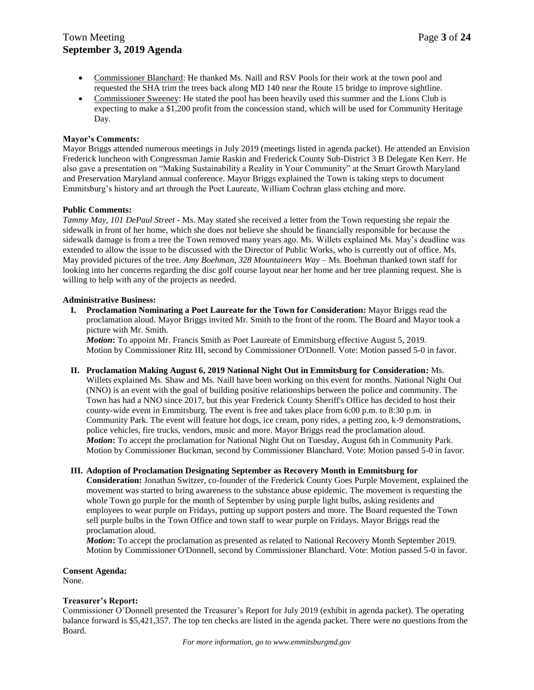# Town Meeting **Page 3** of 24 **September 3, 2019 Agenda**

- Commissioner Blanchard: He thanked Ms. Naill and RSV Pools for their work at the town pool and requested the SHA trim the trees back along MD 140 near the Route 15 bridge to improve sightline.
- Commissioner Sweeney: He stated the pool has been heavily used this summer and the Lions Club is expecting to make a \$1,200 profit from the concession stand, which will be used for Community Heritage Day.

#### **Mayor's Comments:**

Mayor Briggs attended numerous meetings in July 2019 (meetings listed in agenda packet). He attended an Envision Frederick luncheon with Congressman Jamie Raskin and Frederick County Sub-District 3 B Delegate Ken Kerr. He also gave a presentation on "Making Sustainability a Reality in Your Community" at the Smart Growth Maryland and Preservation Maryland annual conference. Mayor Briggs explained the Town is taking steps to document Emmitsburg's history and art through the Poet Laureate, William Cochran glass etching and more.

#### **Public Comments:**

*Tammy May, 101 DePaul Street -* Ms. May stated she received a letter from the Town requesting she repair the sidewalk in front of her home, which she does not believe she should be financially responsible for because the sidewalk damage is from a tree the Town removed many years ago. Ms. Willets explained Ms. May's deadline was extended to allow the issue to be discussed with the Director of Public Works, who is currently out of office. Ms. May provided pictures of the tree. *Amy Boehman, 328 Mountaineers Way* – Ms. Boehman thanked town staff for looking into her concerns regarding the disc golf course layout near her home and her tree planning request. She is willing to help with any of the projects as needed.

#### **Administrative Business:**

**I. Proclamation Nominating a Poet Laureate for the Town for Consideration:** Mayor Briggs read the proclamation aloud. Mayor Briggs invited Mr. Smith to the front of the room. The Board and Mayor took a picture with Mr. Smith.

*Motion***:** To appoint Mr. Francis Smith as Poet Laureate of Emmitsburg effective August 5, 2019. Motion by Commissioner Ritz III, second by Commissioner O'Donnell. Vote: Motion passed 5-0 in favor.

**II. Proclamation Making August 6, 2019 National Night Out in Emmitsburg for Consideration:** Ms. Willets explained Ms. Shaw and Ms. Naill have been working on this event for months. National Night Out (NNO) is an event with the goal of building positive relationships between the police and community. The Town has had a NNO since 2017, but this year Frederick County Sheriff's Office has decided to host their county-wide event in Emmitsburg. The event is free and takes place from 6:00 p.m. to 8:30 p.m. in Community Park. The event will feature hot dogs, ice cream, pony rides, a petting zoo, k-9 demonstrations, police vehicles, fire trucks, vendors, music and more. Mayor Briggs read the proclamation aloud. *Motion***:** To accept the proclamation for National Night Out on Tuesday, August 6th in Community Park. Motion by Commissioner Buckman, second by Commissioner Blanchard. Vote: Motion passed 5-0 in favor.

#### **III. Adoption of Proclamation Designating September as Recovery Month in Emmitsburg for**

**Consideration:** Jonathan Switzer, co-founder of the Frederick County Goes Purple Movement, explained the movement was started to bring awareness to the substance abuse epidemic. The movement is requesting the whole Town go purple for the month of September by using purple light bulbs, asking residents and employees to wear purple on Fridays, putting up support posters and more. The Board requested the Town sell purple bulbs in the Town Office and town staff to wear purple on Fridays. Mayor Briggs read the proclamation aloud.

*Motion***:** To accept the proclamation as presented as related to National Recovery Month September 2019. Motion by Commissioner O'Donnell, second by Commissioner Blanchard. Vote: Motion passed 5-0 in favor.

**Consent Agenda:** None.

#### **Treasurer's Report:**

Commissioner O'Donnell presented the Treasurer's Report for July 2019 (exhibit in agenda packet). The operating balance forward is \$5,421,357. The top ten checks are listed in the agenda packet. There were no questions from the Board.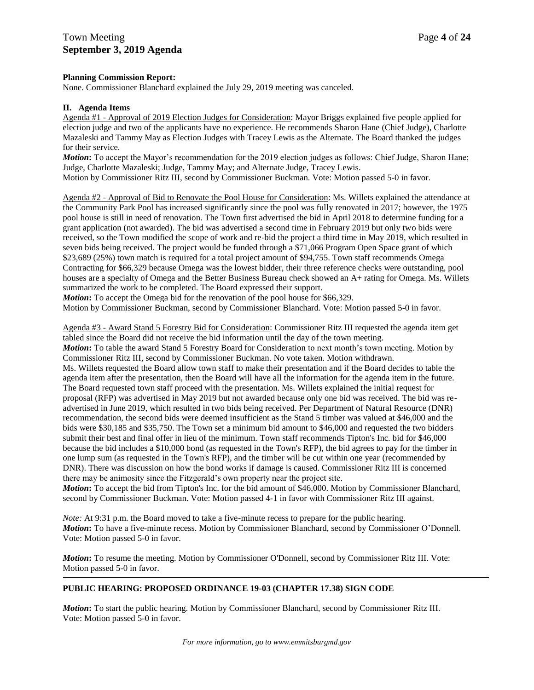#### **Planning Commission Report:**

None. Commissioner Blanchard explained the July 29, 2019 meeting was canceled.

#### **II. Agenda Items**

Agenda #1 - Approval of 2019 Election Judges for Consideration: Mayor Briggs explained five people applied for election judge and two of the applicants have no experience. He recommends Sharon Hane (Chief Judge), Charlotte Mazaleski and Tammy May as Election Judges with Tracey Lewis as the Alternate. The Board thanked the judges for their service.

*Motion*: To accept the Mayor's recommendation for the 2019 election judges as follows: Chief Judge, Sharon Hane; Judge, Charlotte Mazaleski; Judge, Tammy May; and Alternate Judge, Tracey Lewis.

Motion by Commissioner Ritz III, second by Commissioner Buckman. Vote: Motion passed 5-0 in favor.

Agenda #2 - Approval of Bid to Renovate the Pool House for Consideration: Ms. Willets explained the attendance at the Community Park Pool has increased significantly since the pool was fully renovated in 2017; however, the 1975 pool house is still in need of renovation. The Town first advertised the bid in April 2018 to determine funding for a grant application (not awarded). The bid was advertised a second time in February 2019 but only two bids were received, so the Town modified the scope of work and re-bid the project a third time in May 2019, which resulted in seven bids being received. The project would be funded through a \$71,066 Program Open Space grant of which \$23,689 (25%) town match is required for a total project amount of \$94,755. Town staff recommends Omega Contracting for \$66,329 because Omega was the lowest bidder, their three reference checks were outstanding, pool houses are a specialty of Omega and the Better Business Bureau check showed an A+ rating for Omega. Ms. Willets summarized the work to be completed. The Board expressed their support.

*Motion***:** To accept the Omega bid for the renovation of the pool house for \$66,329.

Motion by Commissioner Buckman, second by Commissioner Blanchard. Vote: Motion passed 5-0 in favor.

Agenda #3 - Award Stand 5 Forestry Bid for Consideration: Commissioner Ritz III requested the agenda item get tabled since the Board did not receive the bid information until the day of the town meeting.

*Motion***:** To table the award Stand 5 Forestry Board for Consideration to next month's town meeting. Motion by Commissioner Ritz III, second by Commissioner Buckman. No vote taken. Motion withdrawn. Ms. Willets requested the Board allow town staff to make their presentation and if the Board decides to table the agenda item after the presentation, then the Board will have all the information for the agenda item in the future. The Board requested town staff proceed with the presentation. Ms. Willets explained the initial request for proposal (RFP) was advertised in May 2019 but not awarded because only one bid was received. The bid was readvertised in June 2019, which resulted in two bids being received. Per Department of Natural Resource (DNR) recommendation, the second bids were deemed insufficient as the Stand 5 timber was valued at \$46,000 and the bids were \$30,185 and \$35,750. The Town set a minimum bid amount to \$46,000 and requested the two bidders submit their best and final offer in lieu of the minimum. Town staff recommends Tipton's Inc. bid for \$46,000 because the bid includes a \$10,000 bond (as requested in the Town's RFP), the bid agrees to pay for the timber in one lump sum (as requested in the Town's RFP), and the timber will be cut within one year (recommended by DNR). There was discussion on how the bond works if damage is caused. Commissioner Ritz III is concerned there may be animosity since the Fitzgerald's own property near the project site.

*Motion*: To accept the bid from Tipton's Inc. for the bid amount of \$46,000. Motion by Commissioner Blanchard, second by Commissioner Buckman. Vote: Motion passed 4-1 in favor with Commissioner Ritz III against.

*Note:* At 9:31 p.m. the Board moved to take a five-minute recess to prepare for the public hearing. *Motion***:** To have a five-minute recess. Motion by Commissioner Blanchard, second by Commissioner O'Donnell. Vote: Motion passed 5-0 in favor.

*Motion***:** To resume the meeting. Motion by Commissioner O'Donnell, second by Commissioner Ritz III. Vote: Motion passed 5-0 in favor.

#### **PUBLIC HEARING: PROPOSED ORDINANCE 19-03 (CHAPTER 17.38) SIGN CODE**

*Motion***:** To start the public hearing. Motion by Commissioner Blanchard, second by Commissioner Ritz III. Vote: Motion passed 5-0 in favor.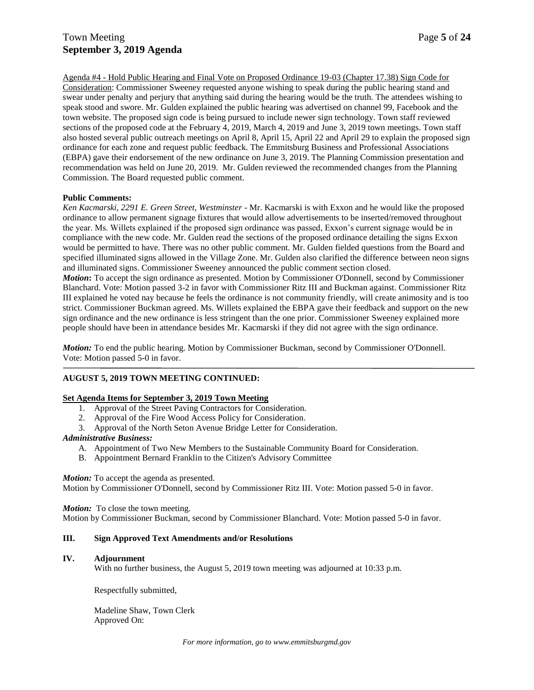# Town Meeting **Page 5** of 24 **September 3, 2019 Agenda**

Agenda #4 - Hold Public Hearing and Final Vote on Proposed Ordinance 19-03 (Chapter 17.38) Sign Code for Consideration: Commissioner Sweeney requested anyone wishing to speak during the public hearing stand and swear under penalty and perjury that anything said during the hearing would be the truth. The attendees wishing to speak stood and swore. Mr. Gulden explained the public hearing was advertised on channel 99, Facebook and the town website. The proposed sign code is being pursued to include newer sign technology. Town staff reviewed sections of the proposed code at the February 4, 2019, March 4, 2019 and June 3, 2019 town meetings. Town staff also hosted several public outreach meetings on April 8, April 15, April 22 and April 29 to explain the proposed sign ordinance for each zone and request public feedback. The Emmitsburg Business and Professional Associations (EBPA) gave their endorsement of the new ordinance on June 3, 2019. The Planning Commission presentation and recommendation was held on June 20, 2019. Mr. Gulden reviewed the recommended changes from the Planning Commission. The Board requested public comment.

#### **Public Comments:**

*Ken Kacmarski, 2291 E. Green Street, Westminster* - Mr. Kacmarski is with Exxon and he would like the proposed ordinance to allow permanent signage fixtures that would allow advertisements to be inserted/removed throughout the year. Ms. Willets explained if the proposed sign ordinance was passed, Exxon's current signage would be in compliance with the new code. Mr. Gulden read the sections of the proposed ordinance detailing the signs Exxon would be permitted to have. There was no other public comment. Mr. Gulden fielded questions from the Board and specified illuminated signs allowed in the Village Zone. Mr. Gulden also clarified the difference between neon signs and illuminated signs. Commissioner Sweeney announced the public comment section closed.

*Motion***:** To accept the sign ordinance as presented. Motion by Commissioner O'Donnell, second by Commissioner Blanchard. Vote: Motion passed 3-2 in favor with Commissioner Ritz III and Buckman against. Commissioner Ritz III explained he voted nay because he feels the ordinance is not community friendly, will create animosity and is too strict. Commissioner Buckman agreed. Ms. Willets explained the EBPA gave their feedback and support on the new sign ordinance and the new ordinance is less stringent than the one prior. Commissioner Sweeney explained more people should have been in attendance besides Mr. Kacmarski if they did not agree with the sign ordinance.

*Motion:* To end the public hearing. Motion by Commissioner Buckman, second by Commissioner O'Donnell. Vote: Motion passed 5-0 in favor.

#### **AUGUST 5, 2019 TOWN MEETING CONTINUED:**

#### **Set Agenda Items for September 3, 2019 Town Meeting**

- 1. Approval of the Street Paving Contractors for Consideration.
- 2. Approval of the Fire Wood Access Policy for Consideration.
- 3. Approval of the North Seton Avenue Bridge Letter for Consideration.

#### *Administrative Business:*

<sup>-</sup>

- A. Appointment of Two New Members to the Sustainable Community Board for Consideration.
- B. Appointment Bernard Franklin to the Citizen's Advisory Committee

*Motion:* To accept the agenda as presented.

Motion by Commissioner O'Donnell, second by Commissioner Ritz III. Vote: Motion passed 5-0 in favor.

*Motion:* To close the town meeting.

Motion by Commissioner Buckman, second by Commissioner Blanchard. Vote: Motion passed 5-0 in favor.

#### **III. Sign Approved Text Amendments and/or Resolutions**

#### **IV. Adjournment**

With no further business, the August 5, 2019 town meeting was adjourned at 10:33 p.m.

Respectfully submitted,

Madeline Shaw, Town Clerk Approved On: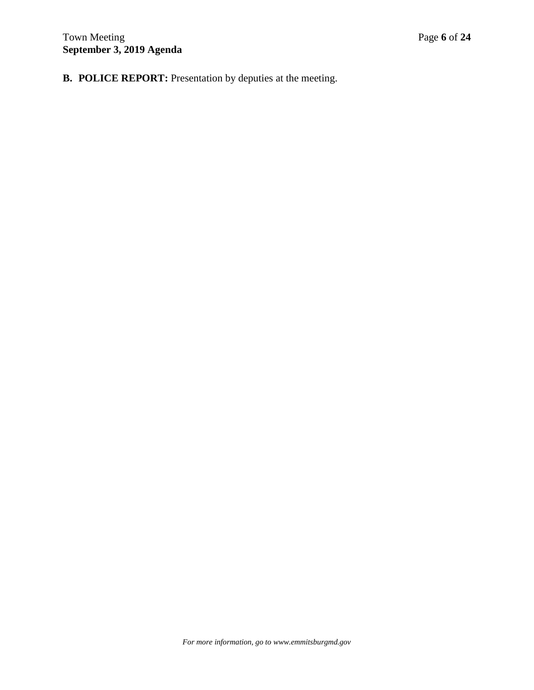**B. POLICE REPORT:** Presentation by deputies at the meeting.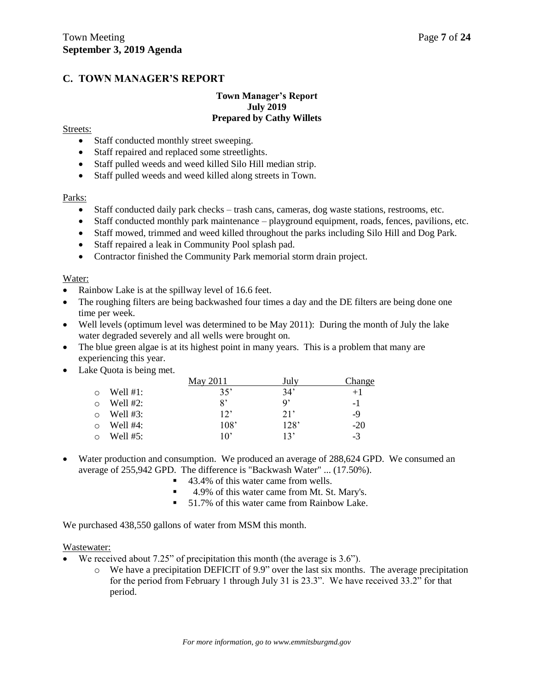# **C. TOWN MANAGER'S REPORT**

#### **Town Manager's Report July 2019 Prepared by Cathy Willets**

#### Streets:

- Staff conducted monthly street sweeping.
- Staff repaired and replaced some streetlights.
- Staff pulled weeds and weed killed Silo Hill median strip.
- Staff pulled weeds and weed killed along streets in Town.

#### Parks:

- Staff conducted daily park checks trash cans, cameras, dog waste stations, restrooms, etc.
- $\bullet$  Staff conducted monthly park maintenance playground equipment, roads, fences, pavilions, etc.
- Staff mowed, trimmed and weed killed throughout the parks including Silo Hill and Dog Park.
- Staff repaired a leak in Community Pool splash pad.
- Contractor finished the Community Park memorial storm drain project.

#### Water:

- Rainbow Lake is at the spillway level of 16.6 feet.
- The roughing filters are being backwashed four times a day and the DE filters are being done one time per week.
- Well levels (optimum level was determined to be May 2011): During the month of July the lake water degraded severely and all wells were brought on.
- The blue green algae is at its highest point in many years. This is a problem that many are experiencing this year.
- Lake Quota is being met.

|             | May 2011        | July | Change |
|-------------|-----------------|------|--------|
| Well $#1$ : | 35'             | 34'  | $+1$   |
| Well $#2$ : | 8'              | g,   | -1     |
| Well $#3$ : | $12^{\circ}$    | 21'  | -9     |
| Well $#4$ : | 108'            | 128' | $-20$  |
| Well #5:    | 10 <sup>2</sup> | 13'  | $-3$   |

- Water production and consumption. We produced an average of 288,624 GPD. We consumed an average of 255,942 GPD. The difference is "Backwash Water" ... (17.50%).
	- 43.4% of this water came from wells.
	- 4.9% of this water came from Mt. St. Mary's.
	- 51.7% of this water came from Rainbow Lake.

We purchased  $438,550$  gallons of water from MSM this month.

#### Wastewater:

- We received about 7.25" of precipitation this month (the average is 3.6").
	- o We have a precipitation DEFICIT of 9.9" over the last six months. The average precipitation for the period from February 1 through July 31 is 23.3". We have received 33.2" for that period.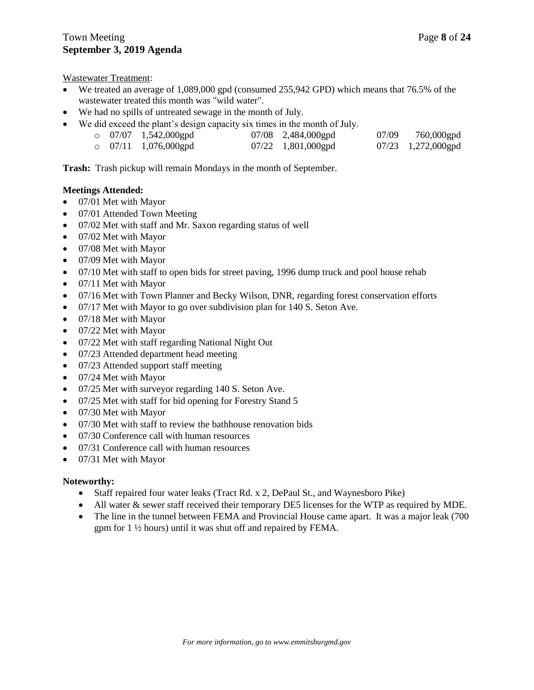Wastewater Treatment:

- We treated an average of 1,089,000 gpd (consumed 255,942 GPD) which means that 76.5% of the wastewater treated this month was "wild water".
- We had no spills of untreated sewage in the month of July.
- We did exceed the plant's design capacity six times in the month of July.
	- $\sigma$  07/07 1,542,000gpd 07/08 2,484,000gpd 07/09 760,000gpd o 07/11 1,076,000gpd 07/22 1,801,000gpd 07/23 1,272,000gpd

**Trash:** Trash pickup will remain Mondays in the month of September.

#### **Meetings Attended:**

- 07/01 Met with Mayor
- 07/01 Attended Town Meeting
- 07/02 Met with staff and Mr. Saxon regarding status of well
- 07/02 Met with Mayor
- 07/08 Met with Mayor
- 07/09 Met with Mayor
- 07/10 Met with staff to open bids for street paving, 1996 dump truck and pool house rehab
- 07/11 Met with Mayor
- 07/16 Met with Town Planner and Becky Wilson, DNR, regarding forest conservation efforts
- 07/17 Met with Mayor to go over subdivision plan for 140 S. Seton Ave.
- 07/18 Met with Mayor
- 07/22 Met with Mayor
- 07/22 Met with staff regarding National Night Out
- 07/23 Attended department head meeting
- 07/23 Attended support staff meeting
- 07/24 Met with Mayor
- 07/25 Met with surveyor regarding 140 S. Seton Ave.
- 07/25 Met with staff for bid opening for Forestry Stand 5
- 07/30 Met with Mayor
- 07/30 Met with staff to review the bathhouse renovation bids
- 07/30 Conference call with human resources
- 07/31 Conference call with human resources
- 07/31 Met with Mayor

#### **Noteworthy:**

- Staff repaired four water leaks (Tract Rd. x 2, DePaul St., and Waynesboro Pike)
- All water & sewer staff received their temporary DE5 licenses for the WTP as required by MDE.
- The line in the tunnel between FEMA and Provincial House came apart. It was a major leak (700) gpm for 1 ½ hours) until it was shut off and repaired by FEMA.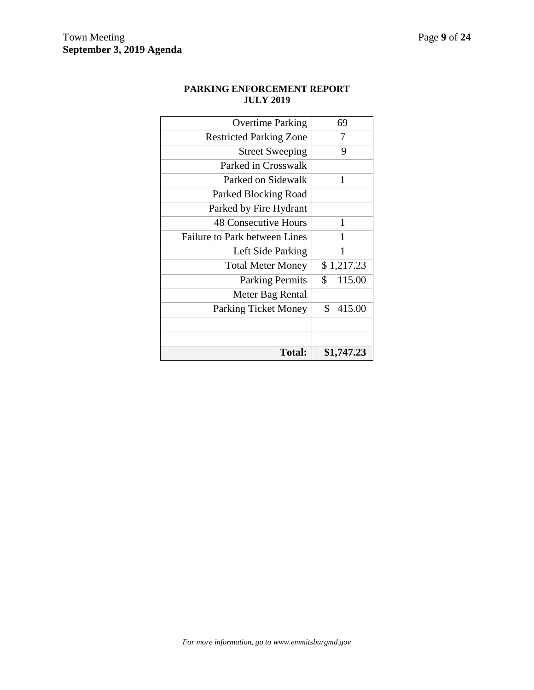| <b>Overtime Parking</b>              | 69                       |
|--------------------------------------|--------------------------|
| <b>Restricted Parking Zone</b>       | 7                        |
| <b>Street Sweeping</b>               | 9                        |
| Parked in Crosswalk                  |                          |
| Parked on Sidewalk                   | 1                        |
| Parked Blocking Road                 |                          |
| Parked by Fire Hydrant               |                          |
| <b>48 Consecutive Hours</b>          | 1                        |
| <b>Failure to Park between Lines</b> | 1                        |
| Left Side Parking                    | 1                        |
| <b>Total Meter Money</b>             | \$1,217.23               |
| <b>Parking Permits</b>               | $\mathbb{S}^-$<br>115.00 |
| Meter Bag Rental                     |                          |
| <b>Parking Ticket Money</b>          | \$<br>415.00             |
|                                      |                          |
|                                      |                          |
| <b>Total:</b>                        | \$1,747.23               |

#### **PARKING ENFORCEMENT REPORT JULY 2019**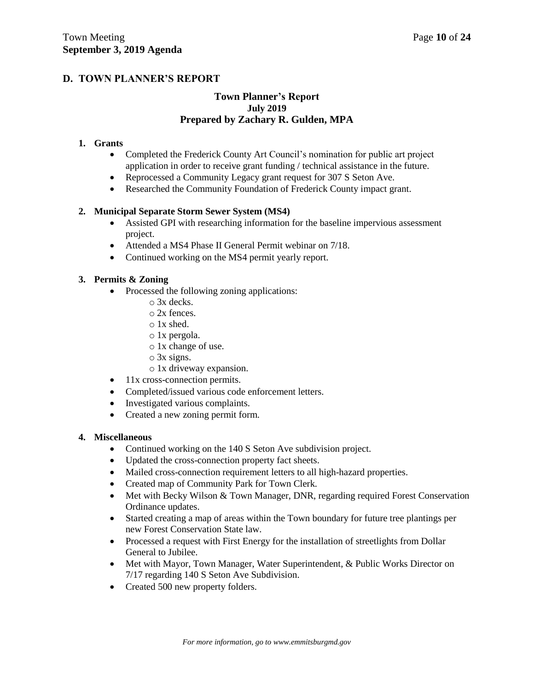# **D. TOWN PLANNER'S REPORT**

#### **Town Planner's Report July 2019 Prepared by Zachary R. Gulden, MPA**

#### **1. Grants**

- Completed the Frederick County Art Council's nomination for public art project application in order to receive grant funding / technical assistance in the future.
- Reprocessed a Community Legacy grant request for 307 S Seton Ave.
- Researched the Community Foundation of Frederick County impact grant.

#### **2. Municipal Separate Storm Sewer System (MS4)**

- Assisted GPI with researching information for the baseline impervious assessment project.
- Attended a MS4 Phase II General Permit webinar on 7/18.
- Continued working on the MS4 permit yearly report.

#### **3. Permits & Zoning**

- Processed the following zoning applications:
	- o 3x decks.
	- o 2x fences.
	- o 1x shed.
	- o 1x pergola.
	- o 1x change of use.
	- o 3x signs.
	- o 1x driveway expansion.
- $\bullet$  11x cross-connection permits.
- Completed/issued various code enforcement letters.
- Investigated various complaints.
- Created a new zoning permit form.

#### **4. Miscellaneous**

- Continued working on the 140 S Seton Ave subdivision project.
- Updated the cross-connection property fact sheets.
- Mailed cross-connection requirement letters to all high-hazard properties.
- Created map of Community Park for Town Clerk.
- Met with Becky Wilson & Town Manager, DNR, regarding required Forest Conservation Ordinance updates.
- Started creating a map of areas within the Town boundary for future tree plantings per new Forest Conservation State law.
- Processed a request with First Energy for the installation of streetlights from Dollar General to Jubilee.
- Met with Mayor, Town Manager, Water Superintendent, & Public Works Director on 7/17 regarding 140 S Seton Ave Subdivision.
- Created 500 new property folders.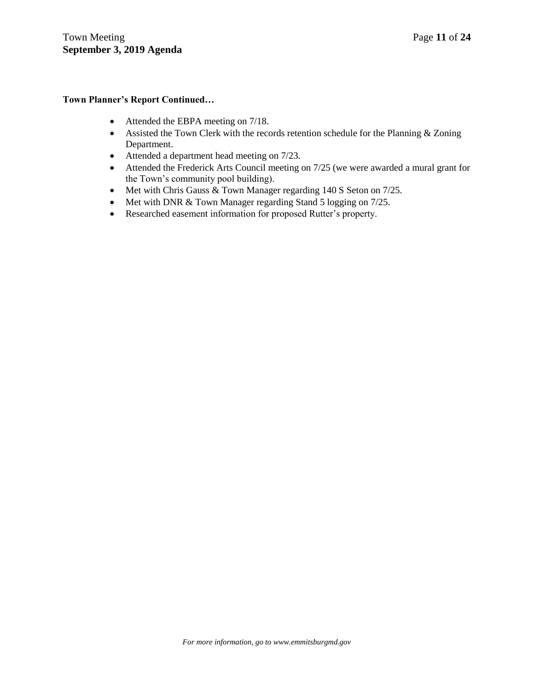#### **Town Planner's Report Continued…**

- Attended the EBPA meeting on 7/18.
- Assisted the Town Clerk with the records retention schedule for the Planning & Zoning Department.
- Attended a department head meeting on 7/23.
- Attended the Frederick Arts Council meeting on 7/25 (we were awarded a mural grant for the Town's community pool building).
- Met with Chris Gauss & Town Manager regarding 140 S Seton on 7/25.
- Met with DNR & Town Manager regarding Stand 5 logging on 7/25.
- Researched easement information for proposed Rutter's property.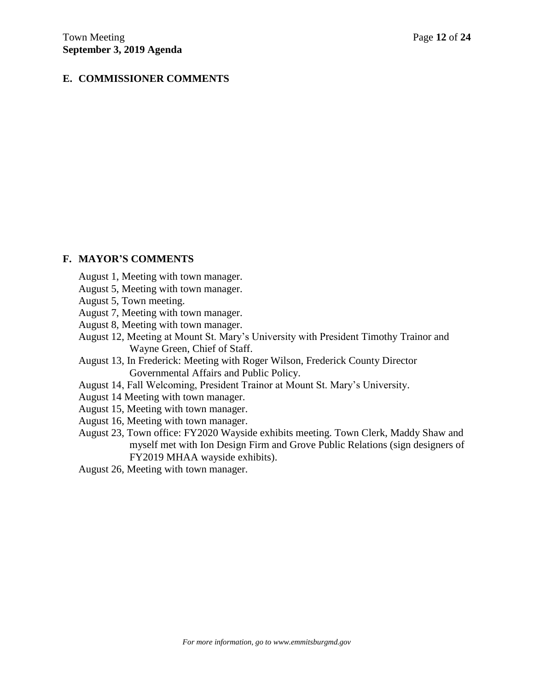# **E. COMMISSIONER COMMENTS**

#### **F. MAYOR'S COMMENTS**

- August 1, Meeting with town manager.
- August 5, Meeting with town manager.
- August 5, Town meeting.
- August 7, Meeting with town manager.
- August 8, Meeting with town manager.
- August 12, Meeting at Mount St. Mary's University with President Timothy Trainor and Wayne Green, Chief of Staff.
- August 13, In Frederick: Meeting with Roger Wilson, Frederick County Director Governmental Affairs and Public Policy.
- August 14, Fall Welcoming, President Trainor at Mount St. Mary's University.
- August 14 Meeting with town manager.
- August 15, Meeting with town manager.
- August 16, Meeting with town manager.
- August 23, Town office: FY2020 Wayside exhibits meeting. Town Clerk, Maddy Shaw and myself met with Ion Design Firm and Grove Public Relations (sign designers of FY2019 MHAA wayside exhibits).
- August 26, Meeting with town manager.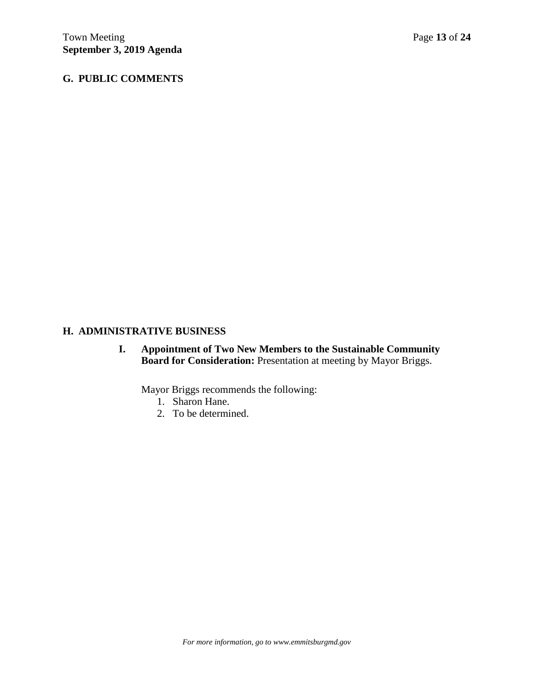# **G. PUBLIC COMMENTS**

#### **H. ADMINISTRATIVE BUSINESS**

**I. Appointment of Two New Members to the Sustainable Community Board for Consideration:** Presentation at meeting by Mayor Briggs.

Mayor Briggs recommends the following:

- 1. Sharon Hane.
- 2. To be determined.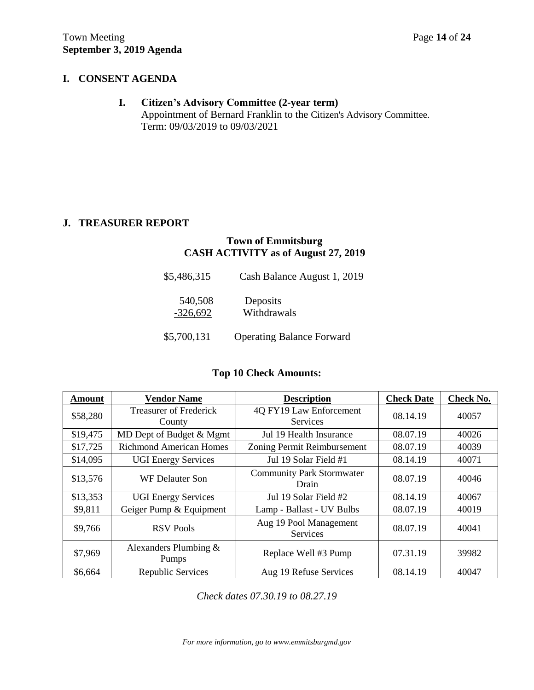# **I. CONSENT AGENDA**

# **I. Citizen's Advisory Committee (2-year term)** Appointment of Bernard Franklin to the Citizen's Advisory Committee. Term: 09/03/2019 to 09/03/2021

# **J. TREASURER REPORT**

# **Town of Emmitsburg CASH ACTIVITY as of August 27, 2019**

| \$5,486,315           | Cash Balance August 1, 2019      |  |
|-----------------------|----------------------------------|--|
| 540,508<br>$-326,692$ | Deposits<br>Withdrawals          |  |
| \$5,700,131           | <b>Operating Balance Forward</b> |  |

# **Top 10 Check Amounts:**

| <b>Amount</b> | <b>Vendor Name</b>                      | <b>Description</b>                        | <b>Check Date</b> | <b>Check No.</b> |
|---------------|-----------------------------------------|-------------------------------------------|-------------------|------------------|
| \$58,280      | <b>Treasurer of Frederick</b><br>County | 4Q FY19 Law Enforcement<br>Services       | 08.14.19          | 40057            |
| \$19,475      | MD Dept of Budget & Mgmt                | Jul 19 Health Insurance                   | 08.07.19          | 40026            |
| \$17,725      | <b>Richmond American Homes</b>          | Zoning Permit Reimbursement               | 08.07.19          | 40039            |
| \$14,095      | <b>UGI Energy Services</b>              | Jul 19 Solar Field #1                     | 08.14.19          | 40071            |
| \$13,576      | WF Delauter Son                         | <b>Community Park Stormwater</b><br>Drain | 08.07.19          | 40046            |
| \$13,353      | <b>UGI Energy Services</b>              | Jul 19 Solar Field #2                     | 08.14.19          | 40067            |
| \$9,811       | Geiger Pump & Equipment                 | Lamp - Ballast - UV Bulbs                 | 08.07.19          | 40019            |
| \$9,766       | <b>RSV</b> Pools                        | Aug 19 Pool Management<br>Services        | 08.07.19          | 40041            |
| \$7,969       | Alexanders Plumbing $&$<br>Pumps        | Replace Well #3 Pump                      | 07.31.19          | 39982            |
| \$6,664       | <b>Republic Services</b>                | Aug 19 Refuse Services                    | 08.14.19          | 40047            |

*Check dates 07.30.19 to 08.27.19*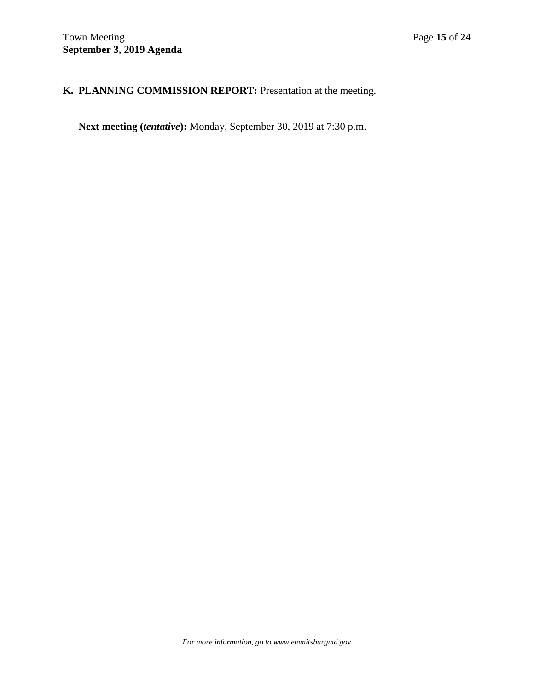# **K. PLANNING COMMISSION REPORT:** Presentation at the meeting.

**Next meeting (***tentative***):** Monday, September 30, 2019 at 7:30 p.m.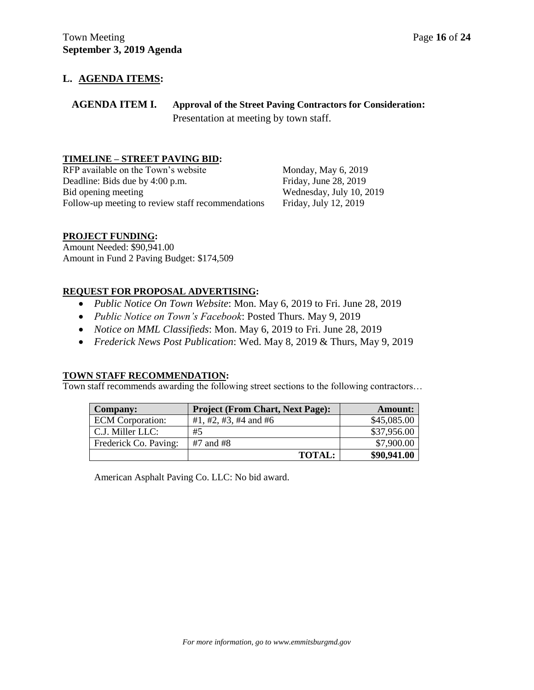# **L. AGENDA ITEMS:**

# **AGENDA ITEM I. Approval of the Street Paving Contractors for Consideration:** Presentation at meeting by town staff.

#### **TIMELINE – STREET PAVING BID:**

RFP available on the Town's website Monday, May 6, 2019 Deadline: Bids due by 4:00 p.m. Friday, June 28, 2019 Bid opening meeting Wednesday, July 10, 2019 Follow-up meeting to review staff recommendations Friday, July 12, 2019

#### **PROJECT FUNDING:**

Amount Needed: \$90,941.00 Amount in Fund 2 Paving Budget: \$174,509

#### **REQUEST FOR PROPOSAL ADVERTISING:**

- *Public Notice On Town Website*: Mon. May 6, 2019 to Fri. June 28, 2019
- *Public Notice on Town's Facebook*: Posted Thurs. May 9, 2019
- *Notice on MML Classifieds*: Mon. May 6, 2019 to Fri. June 28, 2019
- *Frederick News Post Publication*: Wed. May 8, 2019 & Thurs, May 9, 2019

#### **TOWN STAFF RECOMMENDATION:**

Town staff recommends awarding the following street sections to the following contractors…

| <b>Company:</b>         | <b>Project (From Chart, Next Page):</b> | <b>Amount:</b> |  |
|-------------------------|-----------------------------------------|----------------|--|
| <b>ECM</b> Corporation: | #1, #2, #3, #4 and #6                   | \$45,085.00    |  |
| C.J. Miller LLC:        | #5                                      | \$37,956.00    |  |
| Frederick Co. Paving:   | $#7$ and $#8$                           | \$7,900.00     |  |
|                         | <b>TOTAL:</b>                           | \$90,941.00    |  |

American Asphalt Paving Co. LLC: No bid award.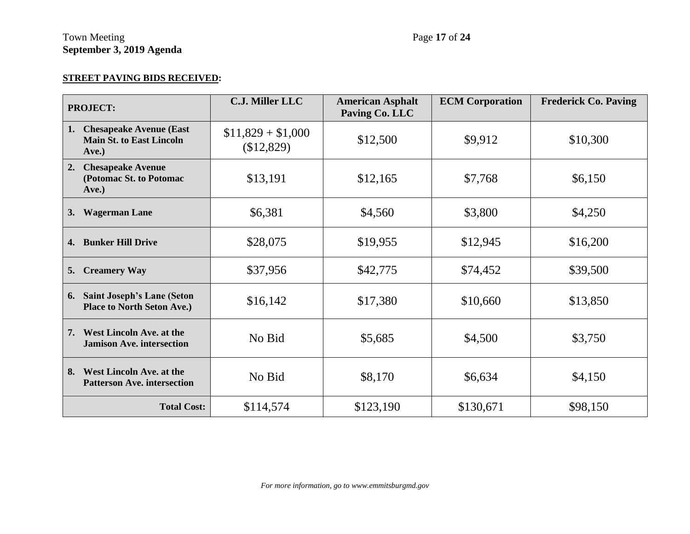# Town Meeting Page 17 of 24 **September 3, 2019 Agenda**

# **STREET PAVING BIDS RECEIVED:**

| <b>PROJECT:</b>                                                                 | <b>C.J. Miller LLC</b>           | <b>American Asphalt</b><br>Paving Co. LLC | <b>ECM Corporation</b> | <b>Frederick Co. Paving</b> |
|---------------------------------------------------------------------------------|----------------------------------|-------------------------------------------|------------------------|-----------------------------|
| <b>Chesapeake Avenue (East</b><br>1.<br><b>Main St. to East Lincoln</b><br>Ave. | $$11,829 + $1,000$<br>(\$12,829) | \$12,500                                  | \$9,912                | \$10,300                    |
| <b>Chesapeake Avenue</b><br>2.<br>(Potomac St. to Potomac<br>Ave.)              | \$13,191                         | \$12,165                                  | \$7,768                | \$6,150                     |
| <b>Wagerman Lane</b><br>3.                                                      | \$6,381                          | \$4,560                                   | \$3,800                | \$4,250                     |
| <b>Bunker Hill Drive</b><br>4.                                                  | \$28,075                         | \$19,955                                  | \$12,945               | \$16,200                    |
| <b>Creamery Way</b><br>5.                                                       | \$37,956                         | \$42,775                                  | \$74,452               | \$39,500                    |
| <b>Saint Joseph's Lane (Seton</b><br>6.<br><b>Place to North Seton Ave.)</b>    | \$16,142                         | \$17,380                                  | \$10,660               | \$13,850                    |
| <b>West Lincoln Ave. at the</b><br>7.<br><b>Jamison Ave. intersection</b>       | No Bid                           | \$5,685                                   | \$4,500                | \$3,750                     |
| <b>West Lincoln Ave. at the</b><br>8.<br><b>Patterson Ave. intersection</b>     | No Bid                           | \$8,170                                   | \$6,634                | \$4,150                     |
| <b>Total Cost:</b>                                                              | \$114,574                        | \$123,190                                 | \$130,671              | \$98,150                    |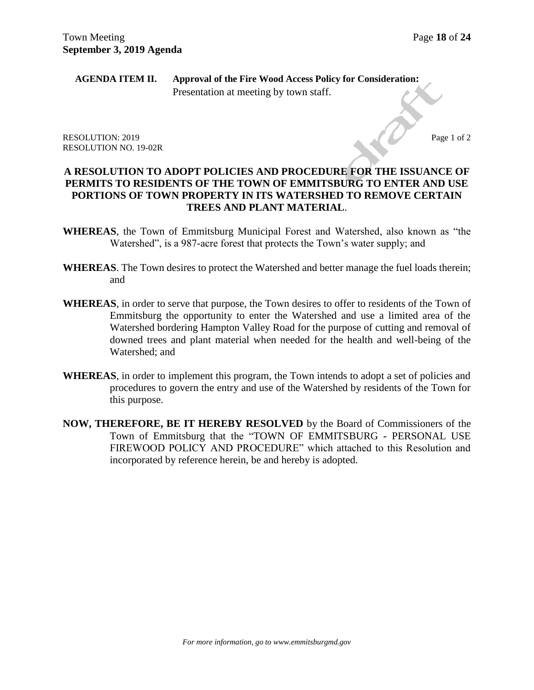# **AGENDA ITEM II. Approval of the Fire Wood Access Policy for Consideration:** Presentation at meeting by town staff.

RESOLUTION: 2019 **Page 1 of 2** RESOLUTION NO. 19-02R

# **A RESOLUTION TO ADOPT POLICIES AND PROCEDURE FOR THE ISSUANCE OF PERMITS TO RESIDENTS OF THE TOWN OF EMMITSBURG TO ENTER AND USE PORTIONS OF TOWN PROPERTY IN ITS WATERSHED TO REMOVE CERTAIN TREES AND PLANT MATERIAL**.

- **WHEREAS**, the Town of Emmitsburg Municipal Forest and Watershed, also known as "the Watershed", is a 987-acre forest that protects the Town's water supply; and
- **WHEREAS**. The Town desires to protect the Watershed and better manage the fuel loads therein; and
- **WHEREAS**, in order to serve that purpose, the Town desires to offer to residents of the Town of Emmitsburg the opportunity to enter the Watershed and use a limited area of the Watershed bordering Hampton Valley Road for the purpose of cutting and removal of downed trees and plant material when needed for the health and well-being of the Watershed; and
- **WHEREAS**, in order to implement this program, the Town intends to adopt a set of policies and procedures to govern the entry and use of the Watershed by residents of the Town for this purpose.
- **NOW, THEREFORE, BE IT HEREBY RESOLVED** by the Board of Commissioners of the Town of Emmitsburg that the "TOWN OF EMMITSBURG **-** PERSONAL USE FIREWOOD POLICY AND PROCEDURE" which attached to this Resolution and incorporated by reference herein, be and hereby is adopted.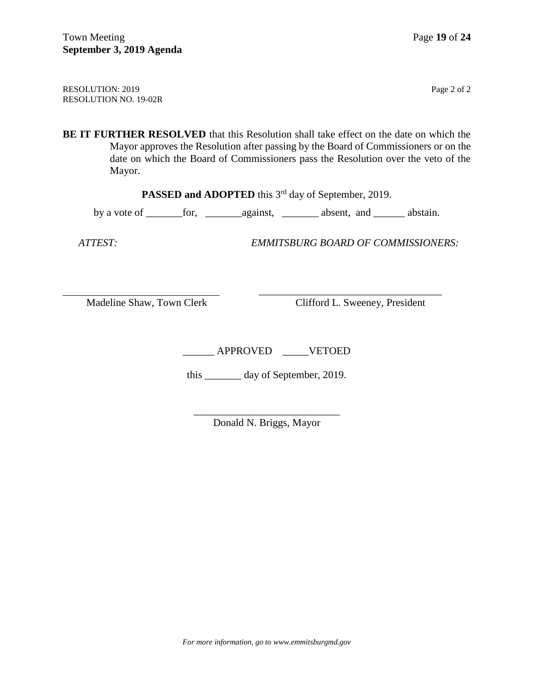RESOLUTION: 2019 **Page 2 of 2** RESOLUTION NO. 19-02R

**BE IT FURTHER RESOLVED** that this Resolution shall take effect on the date on which the Mayor approves the Resolution after passing by the Board of Commissioners or on the date on which the Board of Commissioners pass the Resolution over the veto of the Mayor.

**PASSED** and ADOPTED this 3<sup>rd</sup> day of September, 2019.

by a vote of \_\_\_\_\_\_\_for, \_\_\_\_\_\_\_against, \_\_\_\_\_\_\_ absent, and \_\_\_\_\_\_ abstain.

 *ATTEST: EMMITSBURG BOARD OF COMMISSIONERS:*

Madeline Shaw, Town Clerk Clifford L. Sweeney, President

 $\overline{\phantom{a}}$  , which is the set of the set of the set of the set of the set of the set of the set of the set of the set of the set of the set of the set of the set of the set of the set of the set of the set of the set of

\_\_\_\_\_\_ APPROVED \_\_\_\_\_VETOED

this \_\_\_\_\_\_\_ day of September, 2019.

\_\_\_\_\_\_\_\_\_\_\_\_\_\_\_\_\_\_\_\_\_\_\_\_\_\_\_\_ Donald N. Briggs, Mayor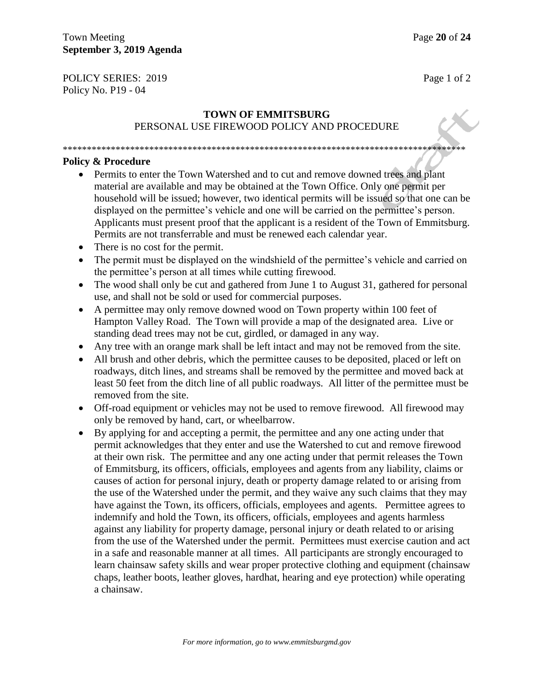POLICY SERIES: 2019 Page 1 of 2 Policy No. P19 - 04

# **TOWN OF EMMITSBURG** PERSONAL USE FIREWOOD POLICY AND PROCEDURE

# \*\*\*\*\*\*\*\*\*\*\*\*\*\*\*\*\*\*\*\*\*\*\*\*\*\*\*\*\*\*\*\*\*\*\*\*\*\*\*\*\*\*\*\*\*\*\*\*\*\*\*\*\*\*\*\*\*\*\*\*\*\*\*\*\*\*\*\*\*\*\*\*\*\*\*\*\*\*\*\*\*\*\*\*

# **Policy & Procedure**

- Permits to enter the Town Watershed and to cut and remove downed trees and plant material are available and may be obtained at the Town Office. Only one permit per household will be issued; however, two identical permits will be issued so that one can be displayed on the permittee's vehicle and one will be carried on the permittee's person. Applicants must present proof that the applicant is a resident of the Town of Emmitsburg. Permits are not transferrable and must be renewed each calendar year.
- There is no cost for the permit.
- The permit must be displayed on the windshield of the permittee's vehicle and carried on the permittee's person at all times while cutting firewood.
- The wood shall only be cut and gathered from June 1 to August 31, gathered for personal use, and shall not be sold or used for commercial purposes.
- A permittee may only remove downed wood on Town property within 100 feet of Hampton Valley Road. The Town will provide a map of the designated area. Live or standing dead trees may not be cut, girdled, or damaged in any way.
- Any tree with an orange mark shall be left intact and may not be removed from the site.
- All brush and other debris, which the permittee causes to be deposited, placed or left on roadways, ditch lines, and streams shall be removed by the permittee and moved back at least 50 feet from the ditch line of all public roadways. All litter of the permittee must be removed from the site.
- Off-road equipment or vehicles may not be used to remove firewood. All firewood may only be removed by hand, cart, or wheelbarrow.
- By applying for and accepting a permit, the permittee and any one acting under that permit acknowledges that they enter and use the Watershed to cut and remove firewood at their own risk. The permittee and any one acting under that permit releases the Town of Emmitsburg, its officers, officials, employees and agents from any liability, claims or causes of action for personal injury, death or property damage related to or arising from the use of the Watershed under the permit, and they waive any such claims that they may have against the Town, its officers, officials, employees and agents. Permittee agrees to indemnify and hold the Town, its officers, officials, employees and agents harmless against any liability for property damage, personal injury or death related to or arising from the use of the Watershed under the permit. Permittees must exercise caution and act in a safe and reasonable manner at all times. All participants are strongly encouraged to learn chainsaw safety skills and wear proper protective clothing and equipment (chainsaw chaps, leather boots, leather gloves, hardhat, hearing and eye protection) while operating a chainsaw.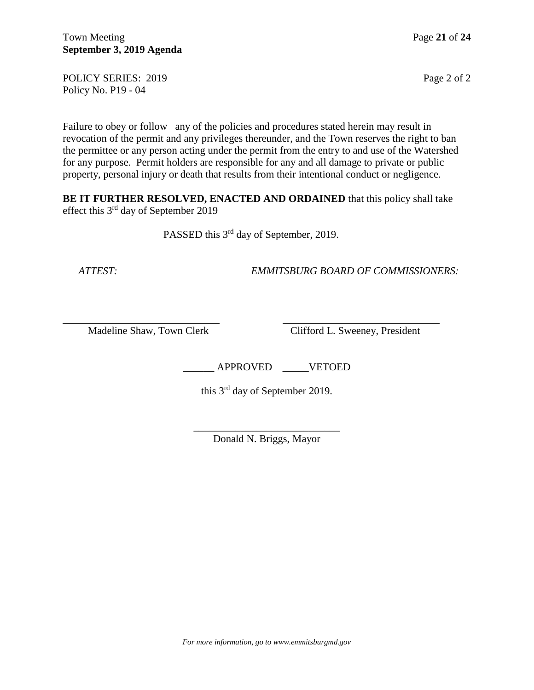POLICY SERIES: 2019 Page 2 of 2 Policy No. P19 - 04

Failure to obey or follow any of the policies and procedures stated herein may result in revocation of the permit and any privileges thereunder, and the Town reserves the right to ban the permittee or any person acting under the permit from the entry to and use of the Watershed for any purpose. Permit holders are responsible for any and all damage to private or public property, personal injury or death that results from their intentional conduct or negligence.

**BE IT FURTHER RESOLVED, ENACTED AND ORDAINED** that this policy shall take effect this 3<sup>rd</sup> day of September 2019

PASSED this 3<sup>rd</sup> day of September, 2019.

 *ATTEST: EMMITSBURG BOARD OF COMMISSIONERS:*

Madeline Shaw, Town Clerk Clifford L. Sweeney, President

\_\_\_\_\_\_ APPROVED \_\_\_\_\_VETOED

this 3<sup>rd</sup> day of September 2019.

\_\_\_\_\_\_\_\_\_\_\_\_\_\_\_\_\_\_\_\_\_\_\_\_\_\_\_\_ Donald N. Briggs, Mayor

*For more information, go to www.emmitsburgmd.gov*

l,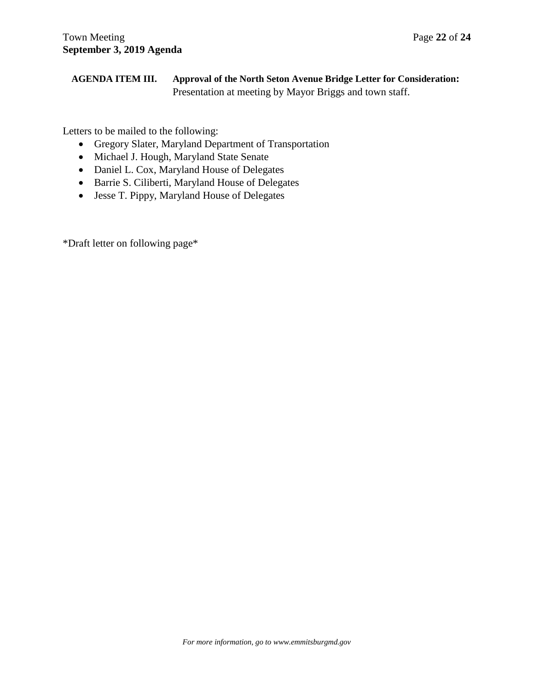# **AGENDA ITEM III. Approval of the North Seton Avenue Bridge Letter for Consideration:** Presentation at meeting by Mayor Briggs and town staff.

Letters to be mailed to the following:

- Gregory Slater, Maryland Department of Transportation
- Michael J. Hough, Maryland State Senate
- Daniel L. Cox, Maryland House of Delegates
- Barrie S. Ciliberti, Maryland House of Delegates
- Jesse T. Pippy, Maryland House of Delegates

\*Draft letter on following page\*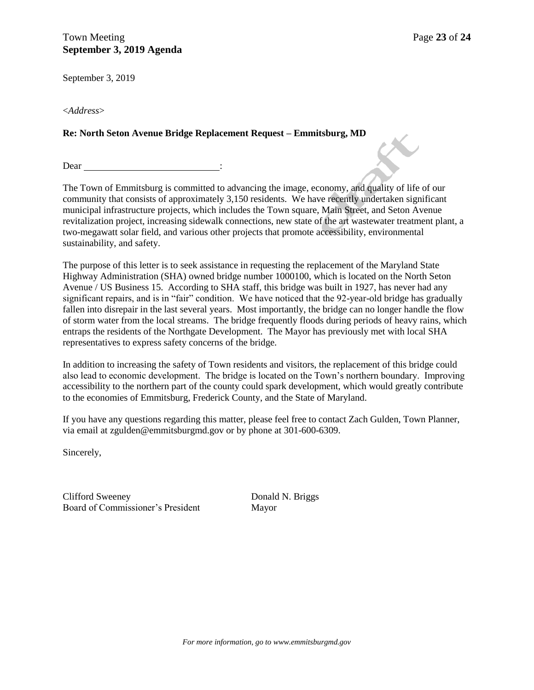# Town Meeting **Page 23** of 24 **September 3, 2019 Agenda**

September 3, 2019

#### **Re: North Seton Avenue Bridge Replacement Request – Emmitsburg, MD**

Dear :

The Town of Emmitsburg is committed to advancing the image, economy, and quality of life of our community that consists of approximately 3,150 residents. We have recently undertaken significant municipal infrastructure projects, which includes the Town square, Main Street, and Seton Avenue revitalization project, increasing sidewalk connections, new state of the art wastewater treatment plant, a two-megawatt solar field, and various other projects that promote accessibility, environmental sustainability, and safety.

The purpose of this letter is to seek assistance in requesting the replacement of the Maryland State Highway Administration (SHA) owned bridge number 1000100, which is located on the North Seton Avenue / US Business 15. According to SHA staff, this bridge was built in 1927, has never had any significant repairs, and is in "fair" condition. We have noticed that the 92-year-old bridge has gradually fallen into disrepair in the last several years. Most importantly, the bridge can no longer handle the flow of storm water from the local streams. The bridge frequently floods during periods of heavy rains, which entraps the residents of the Northgate Development. The Mayor has previously met with local SHA representatives to express safety concerns of the bridge.

In addition to increasing the safety of Town residents and visitors, the replacement of this bridge could also lead to economic development. The bridge is located on the Town's northern boundary. Improving accessibility to the northern part of the county could spark development, which would greatly contribute to the economies of Emmitsburg, Frederick County, and the State of Maryland.

If you have any questions regarding this matter, please feel free to contact Zach Gulden, Town Planner, via email at zgulden@emmitsburgmd.gov or by phone at 301-600-6309.

Sincerely,

Clifford Sweeney Donald N. Briggs Board of Commissioner's President Mayor